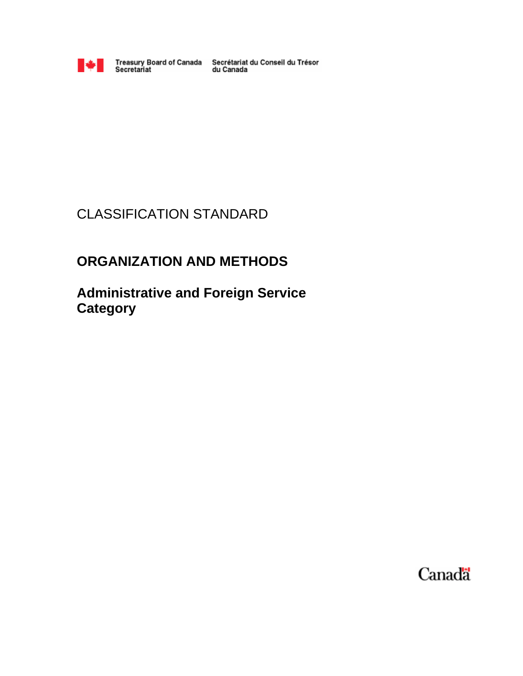

Treasury Board of Canada Secrétariat du Conseil du Trésor<br>du Canada

# CLASSIFICATION STANDARD

# **ORGANIZATION AND METHODS**

**Administrative and Foreign Service Category**

Canada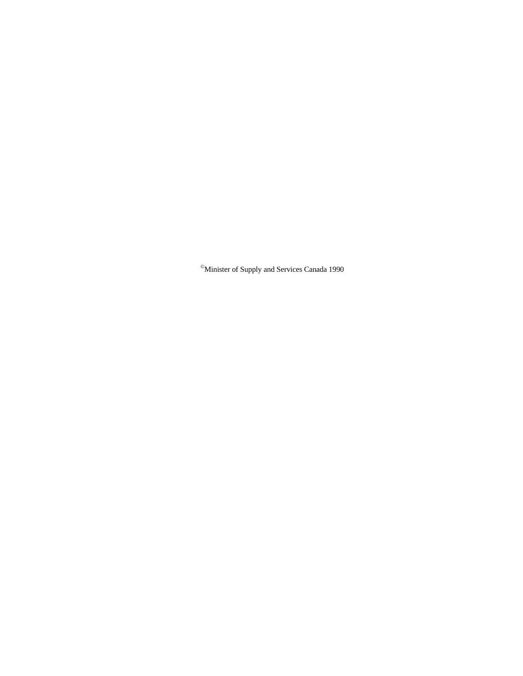©Minister of Supply and Services Canada 1990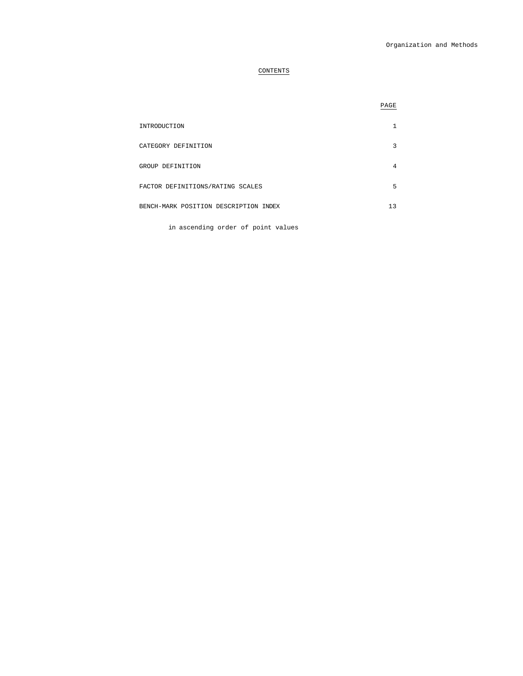# CONTENTS

|                                       | PAGE |
|---------------------------------------|------|
| INTRODUCTION                          |      |
| CATEGORY DEFINITION                   | 3    |
| GROUP DEFINITION                      | 4    |
| FACTOR DEFINITIONS/RATING SCALES      | 5    |
| BENCH-MARK POSITION DESCRIPTION INDEX | 13   |

in ascending order of point values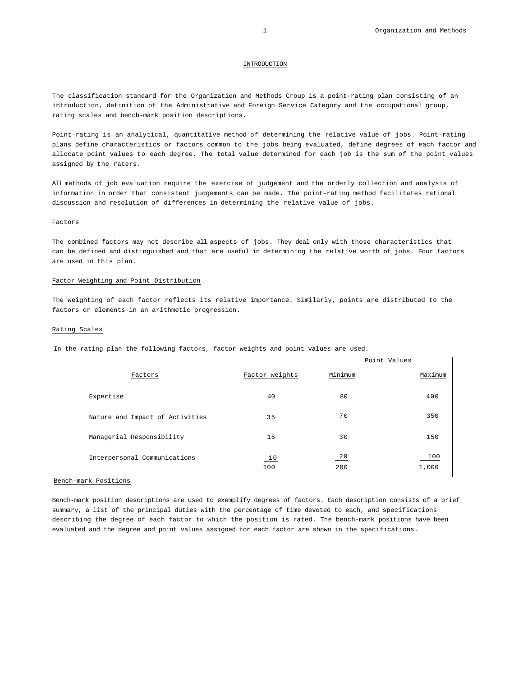#### INTRODUCTION

The classification standard for the Organization and Methods Croup is a point-rating plan consisting of an introduction, definition of the Administrative and Foreign Service Category and the occupational group, rating scales and bench-mark position descriptions.

Point-rating is an analytical, quantitative method of determining the relative value of jobs. Point-rating plans define characteristics or factors common to the jobs being evaluated, define degrees of each factor and allocate point values to each degree. The total value determined for each job is the sum of the point values assigned by the raters.

All methods of job evaluation require the exercise of judgement and the orderly collection and analysis of information in order that consistent judgements can be made. The point-rating method facilitates rational discussion and resolution of differences in determining the relative value of jobs.

### Factors

The combined factors may not describe all aspects of jobs. They deal only with those characteristics that can be defined and distinguished and that are useful in determining the relative worth of jobs. Four factors are used in this plan.

# Factor Weighting and Point Distribution

The weighting of each factor reflects its relative importance. Similarly, points are distributed to the factors or elements in an arithmetic progression.

### Rating Scales

In the rating plan the following factors, factor weights and point values are used.

|                                 |                |           | Point Values |
|---------------------------------|----------------|-----------|--------------|
| Factors                         | Factor weights | Minimum   | Maximum      |
| Expertise                       | 40             | 80        | 400          |
| Nature and Impact of Activities | 35             | 70        | 350          |
| Managerial Responsibility       | 15             | 30        | 150          |
| Interpersonal Communications    | 10<br>100      | 20<br>200 | 100<br>1,000 |

### Bench-mark Positions

Bench-mark position descriptions are used to exemplify degrees of factors. Each description consists of a brief summary, a list of the principal duties with the percentage of time devoted to each, and specifications describing the degree of each factor to which the position is rated. The bench-mark positions have been evaluated and the degree and point values assigned for each factor are shown in the specifications.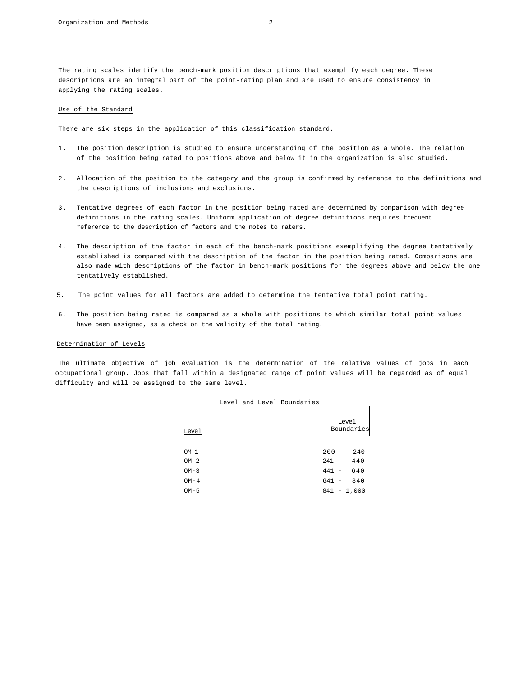The rating scales identify the bench-mark position descriptions that exemplify each degree. These descriptions are an integral part of the point-rating plan and are used to ensure consistency in applying the rating scales.

# Use of the Standard

There are six steps in the application of this classification standard.

- 1. The position description is studied to ensure understanding of the position as a whole. The relation of the position being rated to positions above and below it in the organization is also studied.
- 2. Allocation of the position to the category and the group is confirmed by reference to the definitions and the descriptions of inclusions and exclusions.
- 3. Tentative degrees of each factor in the position being rated are determined by comparison with degree definitions in the rating scales. Uniform application of degree definitions requires frequent reference to the description of factors and the notes to raters.
- 4. The description of the factor in each of the bench-mark positions exemplifying the degree tentatively established is compared with the description of the factor in the position being rated. Comparisons are also made with descriptions of the factor in bench-mark positions for the degrees above and below the one tentatively established.
- 5. The point values for all factors are added to determine the tentative total point rating.
- 6. The position being rated is compared as a whole with positions to which similar total point values have been assigned, as a check on the validity of the total rating.

### Determination of Levels

The ultimate objective of job evaluation is the determination of the relative values of jobs in each occupational group. Jobs that fall within a designated range of point values will be regarded as of equal difficulty and will be assigned to the same level.

|  |  |  | Level and Level Boundaries |
|--|--|--|----------------------------|
|--|--|--|----------------------------|

| Level  | Level<br>Boundaries |
|--------|---------------------|
| $OM-1$ | $200 -$<br>240      |
| $OM-2$ | 440<br>$241 -$      |
| $OM-3$ | 640<br>$441 -$      |
| $OM-4$ | 641 -<br>840        |
| $OM-5$ | $841 - 1,000$       |

 $\overline{1}$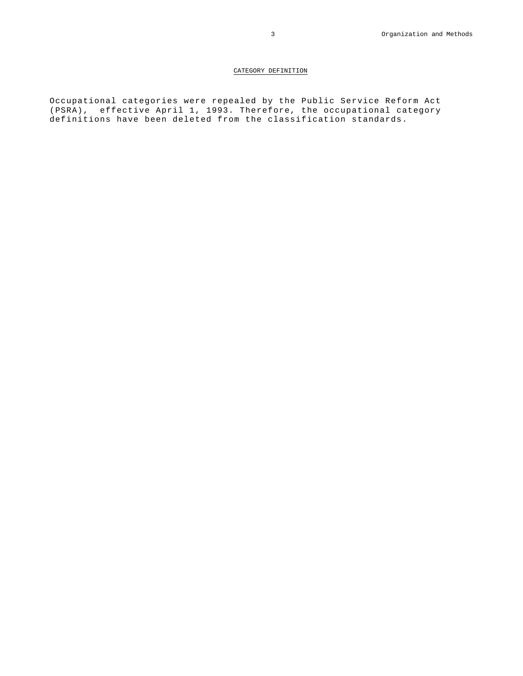# CATEGORY DEFINITION

Occupational categories were repealed by the Public Service Reform Act (PSRA), effective April 1, 1993. Therefore, the occupational category definitions have been deleted from the classification standards.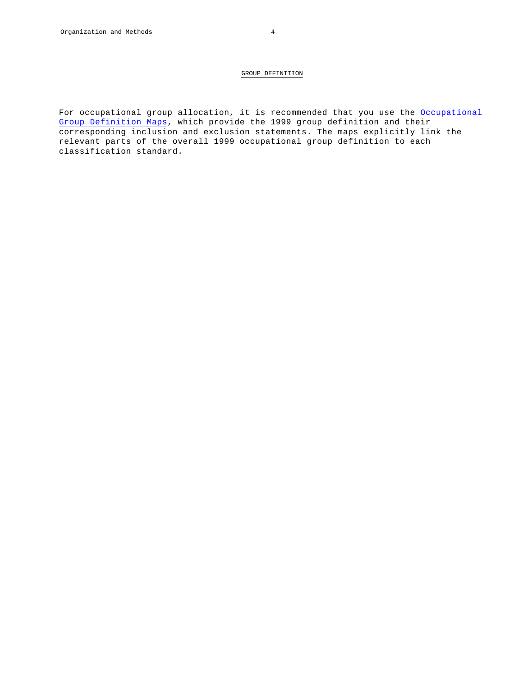For occupational group allocation, it is recommended that you use the Occupational Group Definition Maps, which provide the 1999 group definition and their corresponding inclusion and exclusion statements. The maps explicitly link the relevant parts of the overall 1999 occupational group definition to each classification standard.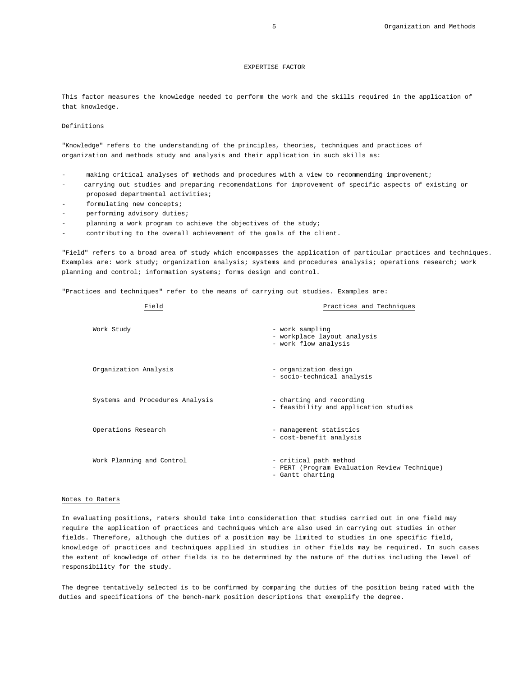# 5 Organization and Methods

# EXPERTISE FACTOR

This factor measures the knowledge needed to perform the work and the skills required in the application of that knowledge.

# Definitions

"Knowledge" refers to the understanding of the principles, theories, techniques and practices of organization and methods study and analysis and their application in such skills as:

- making critical analyses of methods and procedures with a view to recommending improvement;
- carrying out studies and preparing recomendations for improvement of specific aspects of existing or proposed departmental activities;
- formulating new concepts;
- performing advisory duties;
- planning a work program to achieve the objectives of the study;
- contributing to the overall achievement of the goals of the client.

"Field" refers to a broad area of study which encompasses the application of particular practices and techniques. Examples are: work study; organization analysis; systems and procedures analysis; operations research; work planning and control; information systems; forms design and control.

"Practices and techniques" refer to the means of carrying out studies. Examples are:

| Field                           | Practices and Techniques                                                                   |
|---------------------------------|--------------------------------------------------------------------------------------------|
| Work Study                      | - work sampling<br>- workplace layout analysis<br>- work flow analysis                     |
| Organization Analysis           | - organization design<br>- socio-technical analysis                                        |
| Systems and Procedures Analysis | - charting and recording<br>- feasibility and application studies                          |
| Operations Research             | - management statistics<br>- cost-benefit analysis                                         |
| Work Planning and Control       | - critical path method<br>- PERT (Program Evaluation Review Technique)<br>- Gantt charting |

### Notes to Raters

In evaluating positions, raters should take into consideration that studies carried out in one field may require the application of practices and techniques which are also used in carrying out studies in other fields. Therefore, although the duties of a position may be limited to studies in one specific field, knowledge of practices and techniques applied in studies in other fields may be required. In such cases the extent of knowledge of other fields is to be determined by the nature of the duties including the level of responsibility for the study.

The degree tentatively selected is to be confirmed by comparing the duties of the position being rated with the duties and specifications of the bench-mark position descriptions that exemplify the degree.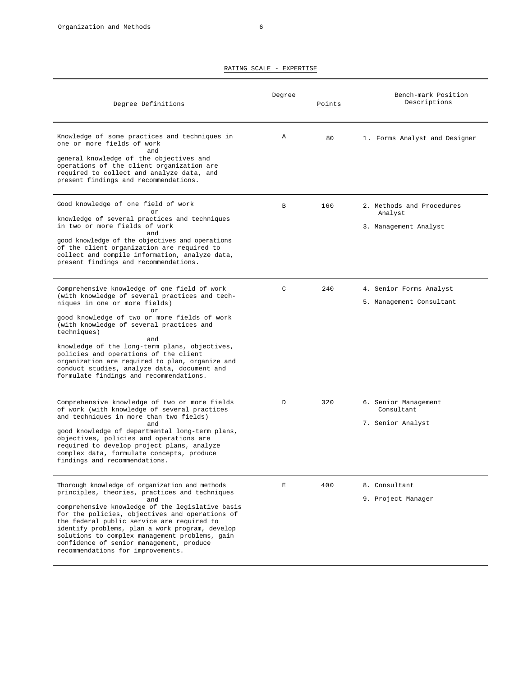| Degree Definitions                                                                                                                                                                                                                                                                                                                                                                                                                                                                             | Degree       | Points | Bench-mark Position<br>Descriptions                           |
|------------------------------------------------------------------------------------------------------------------------------------------------------------------------------------------------------------------------------------------------------------------------------------------------------------------------------------------------------------------------------------------------------------------------------------------------------------------------------------------------|--------------|--------|---------------------------------------------------------------|
| Knowledge of some practices and techniques in<br>one or more fields of work<br>and<br>general knowledge of the objectives and<br>operations of the client organization are<br>required to collect and analyze data, and<br>present findings and recommendations.                                                                                                                                                                                                                               | Α            | 80     | 1. Forms Analyst and Designer                                 |
| Good knowledge of one field of work<br>or<br>knowledge of several practices and techniques<br>in two or more fields of work<br>and<br>good knowledge of the objectives and operations<br>of the client organization are required to<br>collect and compile information, analyze data,<br>present findings and recommendations.                                                                                                                                                                 | B            | 160    | 2. Methods and Procedures<br>Analyst<br>3. Management Analyst |
| Comprehensive knowledge of one field of work<br>(with knowledge of several practices and tech-<br>niques in one or more fields)<br>or<br>good knowledge of two or more fields of work<br>(with knowledge of several practices and<br>techniques)<br>and<br>knowledge of the long-term plans, objectives,<br>policies and operations of the client<br>organization are required to plan, organize and<br>conduct studies, analyze data, document and<br>formulate findings and recommendations. | $\mathsf{C}$ | 240    | 4. Senior Forms Analyst<br>5. Management Consultant           |
| Comprehensive knowledge of two or more fields<br>of work (with knowledge of several practices<br>and techniques in more than two fields)<br>and<br>good knowledge of departmental long-term plans,<br>objectives, policies and operations are<br>required to develop project plans, analyze<br>complex data, formulate concepts, produce<br>findings and recommendations.                                                                                                                      | D            | 320    | 6. Senior Management<br>Consultant<br>7. Senior Analyst       |
| Thorough knowledge of organization and methods<br>principles, theories, practices and techniques<br>and<br>comprehensive knowledge of the legislative basis<br>for the policies, objectives and operations of<br>the federal public service are required to<br>identify problems, plan a work program, develop<br>solutions to complex management problems, gain<br>confidence of senior management, produce<br>recommendations for improvements.                                              | E            | 400    | 8. Consultant<br>9. Project Manager                           |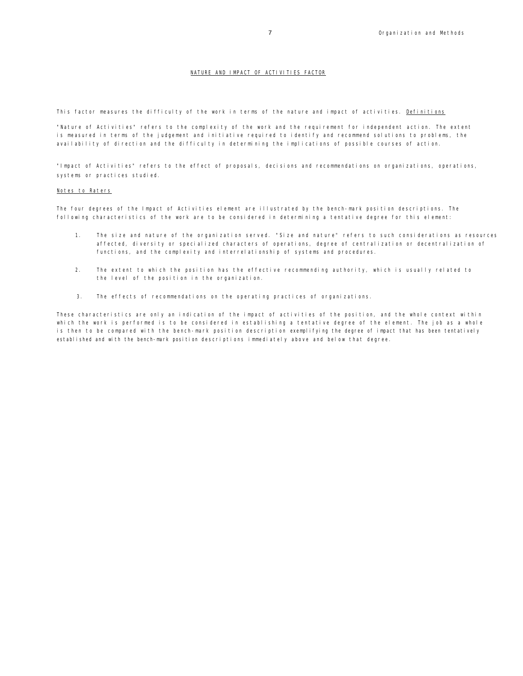# NATURE AND IMPACT OF ACTIVITIES FACTOR

This factor measures the difficulty of the work in terms of the nature and impact of activities. Definitions

"Nature of Activities" refers to the complexity of the work and the requirement for independent action. The extent is measured in terms of the judgement and initiative required to identify and recommend solutions to problems, the availability of direction and the difficulty in determining the implications of possible courses of action.

"Impact of Activities" refers to the effect of proposals, decisions and recommendations on organizations, operations, systems or practices studied.

### Notes to Raters

The four degrees of the Impact of Activities element are illustrated by the bench-mark position descriptions. The following characteristics of the work are to be considered in determining a tentative degree for this element:

- 1. The size and nature of the organization served. "Size and nature" refers to such considerations as resources affected, diversity or specialized characters of operations, degree of centralization or decentralization of functions, and the complexity and interrelationship of systems and procedures.
- 2. The extent to which the position has the effective recommending authority, which is usually related to the level of the position in the organization.
- 3. The effects of recommendations on the operating practices of organizations.

These characteristics are only an indication of the impact of activities of the position, and the whole context within which the work is performed is to be considered in establishing a tentative degree of the element. The job as a whole is then to be compared with the bench-mark position description exemplifying the degree of impact that has been tentatively established and with the bench-mark position descriptions immediately above and below that degree.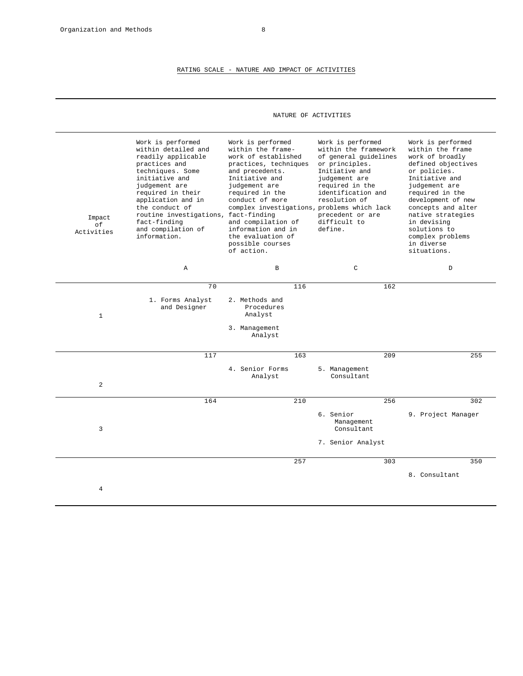÷.

# RATING SCALE - NATURE AND IMPACT OF ACTIVITIES

# NATURE OF ACTIVITIES

| Impact<br>of<br>Activities | Work is performed<br>within detailed and<br>readily applicable<br>practices and<br>techniques. Some<br>initiative and<br>judgement are<br>required in their<br>application and in<br>the conduct of<br>routine investigations, fact-finding<br>fact-finding<br>and compilation of<br>information. | Work is performed<br>within the frame-<br>work of established<br>practices, techniques<br>and precedents.<br>Initiative and<br>judgement are<br>required in the<br>conduct of more<br>complex investigations, problems which lack<br>and compilation of<br>information and in<br>the evaluation of<br>possible courses<br>of action. | Work is performed<br>within the framework<br>of general quidelines<br>or principles.<br>Initiative and<br>judgement are<br>required in the<br>identification and<br>resolution of<br>precedent or are<br>difficult to<br>define. | Work is performed<br>within the frame<br>work of broadly<br>defined objectives<br>or policies.<br>Initiative and<br>judgement are<br>required in the<br>development of new<br>concepts and alter<br>native strategies<br>in devising<br>solutions to<br>complex problems<br>in diverse<br>situations. |
|----------------------------|---------------------------------------------------------------------------------------------------------------------------------------------------------------------------------------------------------------------------------------------------------------------------------------------------|--------------------------------------------------------------------------------------------------------------------------------------------------------------------------------------------------------------------------------------------------------------------------------------------------------------------------------------|----------------------------------------------------------------------------------------------------------------------------------------------------------------------------------------------------------------------------------|-------------------------------------------------------------------------------------------------------------------------------------------------------------------------------------------------------------------------------------------------------------------------------------------------------|
|                            | Α                                                                                                                                                                                                                                                                                                 | $\, {\bf B}$                                                                                                                                                                                                                                                                                                                         | $\mathsf{C}$                                                                                                                                                                                                                     | D                                                                                                                                                                                                                                                                                                     |
|                            | 70                                                                                                                                                                                                                                                                                                | 116                                                                                                                                                                                                                                                                                                                                  | 162                                                                                                                                                                                                                              |                                                                                                                                                                                                                                                                                                       |
| $\mathbf{1}$               | 1. Forms Analyst<br>and Designer                                                                                                                                                                                                                                                                  | 2. Methods and<br>Procedures<br>Analyst                                                                                                                                                                                                                                                                                              |                                                                                                                                                                                                                                  |                                                                                                                                                                                                                                                                                                       |
|                            |                                                                                                                                                                                                                                                                                                   | 3. Management<br>Analyst                                                                                                                                                                                                                                                                                                             |                                                                                                                                                                                                                                  |                                                                                                                                                                                                                                                                                                       |
|                            | 117                                                                                                                                                                                                                                                                                               | 163                                                                                                                                                                                                                                                                                                                                  | 209                                                                                                                                                                                                                              | 255                                                                                                                                                                                                                                                                                                   |
| 2                          |                                                                                                                                                                                                                                                                                                   | 4. Senior Forms<br>Analyst                                                                                                                                                                                                                                                                                                           | 5. Management<br>Consultant                                                                                                                                                                                                      |                                                                                                                                                                                                                                                                                                       |
|                            | 164                                                                                                                                                                                                                                                                                               | 210                                                                                                                                                                                                                                                                                                                                  | 256                                                                                                                                                                                                                              | 302                                                                                                                                                                                                                                                                                                   |
| 3                          |                                                                                                                                                                                                                                                                                                   |                                                                                                                                                                                                                                                                                                                                      | 6. Senior<br>Management<br>Consultant                                                                                                                                                                                            | 9. Project Manager                                                                                                                                                                                                                                                                                    |
|                            |                                                                                                                                                                                                                                                                                                   |                                                                                                                                                                                                                                                                                                                                      | 7. Senior Analyst                                                                                                                                                                                                                |                                                                                                                                                                                                                                                                                                       |
|                            |                                                                                                                                                                                                                                                                                                   | 257                                                                                                                                                                                                                                                                                                                                  | 303                                                                                                                                                                                                                              | 350                                                                                                                                                                                                                                                                                                   |
|                            |                                                                                                                                                                                                                                                                                                   |                                                                                                                                                                                                                                                                                                                                      |                                                                                                                                                                                                                                  | 8. Consultant                                                                                                                                                                                                                                                                                         |
| $\overline{4}$             |                                                                                                                                                                                                                                                                                                   |                                                                                                                                                                                                                                                                                                                                      |                                                                                                                                                                                                                                  |                                                                                                                                                                                                                                                                                                       |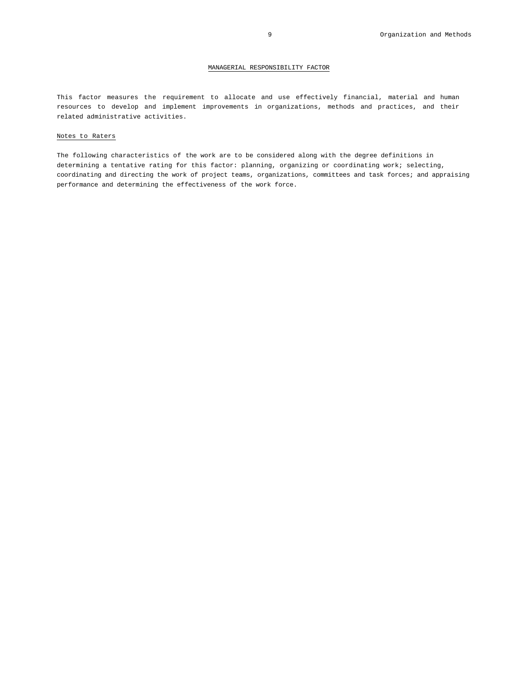# MANAGERIAL RESPONSIBILITY FACTOR

This factor measures the requirement to allocate and use effectively financial, material and human resources to develop and implement improvements in organizations, methods and practices, and their related administrative activities.

# Notes to Raters

The following characteristics of the work are to be considered along with the degree definitions in determining a tentative rating for this factor: planning, organizing or coordinating work; selecting, coordinating and directing the work of project teams, organizations, committees and task forces; and appraising performance and determining the effectiveness of the work force.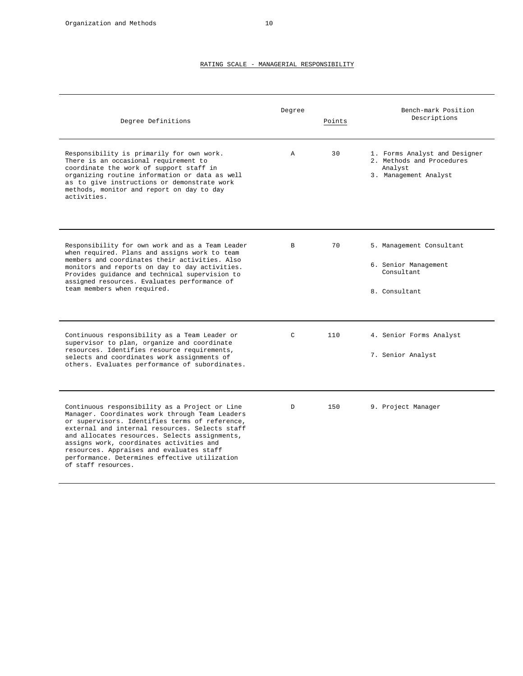| Degree Definitions                                                                                                                                                                                                                                                                                                                                                                                                    | Degree       | Points | Bench-mark Position<br>Descriptions                                                            |
|-----------------------------------------------------------------------------------------------------------------------------------------------------------------------------------------------------------------------------------------------------------------------------------------------------------------------------------------------------------------------------------------------------------------------|--------------|--------|------------------------------------------------------------------------------------------------|
| Responsibility is primarily for own work.<br>There is an occasional requirement to<br>coordinate the work of support staff in<br>organizing routine information or data as well<br>as to give instructions or demonstrate work<br>methods, monitor and report on day to day<br>activities.                                                                                                                            | $\mathbb{A}$ | 30     | 1. Forms Analyst and Designer<br>2. Methods and Procedures<br>Analyst<br>3. Management Analyst |
| Responsibility for own work and as a Team Leader<br>when required. Plans and assigns work to team<br>members and coordinates their activities. Also<br>monitors and reports on day to day activities.<br>Provides quidance and technical supervision to<br>assigned resources. Evaluates performance of<br>team members when required.                                                                                | <sub>B</sub> | 70     | 5. Management Consultant<br>6. Senior Management<br>Consultant<br>8. Consultant                |
| Continuous responsibility as a Team Leader or<br>supervisor to plan, organize and coordinate<br>resources. Identifies resource requirements,<br>selects and coordinates work assignments of<br>others. Evaluates performance of subordinates.                                                                                                                                                                         | $\mathsf{C}$ | 110    | 4. Senior Forms Analyst<br>7. Senior Analyst                                                   |
| Continuous responsibility as a Project or Line<br>Manager. Coordinates work through Team Leaders<br>or supervisors. Identifies terms of reference,<br>external and internal resources. Selects staff<br>and allocates resources. Selects assignments,<br>assigns work, coordinates activities and<br>resources. Appraises and evaluates staff<br>performance. Determines effective utilization<br>of staff resources. | D            | 150    | 9. Project Manager                                                                             |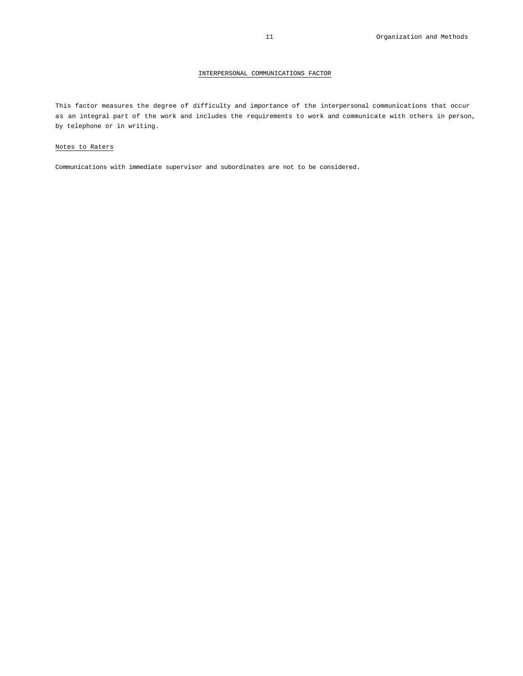# INTERPERSONAL COMMUNICATIONS FACTOR

This factor measures the degree of difficulty and importance of the interpersonal communications that occur as an integral part of the work and includes the requirements to work and communicate with others in person, by telephone or in writing.

# Notes to Raters

Communications with immediate supervisor and subordinates are not to be considered.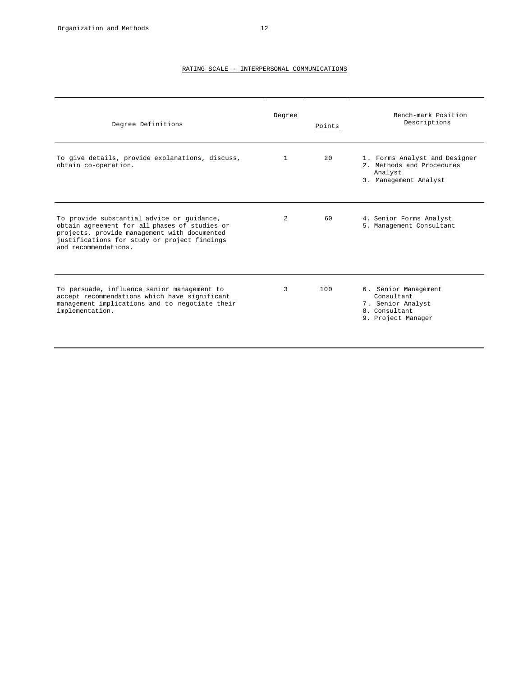# RATING SCALE - INTERPERSONAL COMMUNICATIONS

| Degree Definitions                                                                                                                                                                                                  | Degree | Points | Bench-mark Position<br>Descriptions                                                            |
|---------------------------------------------------------------------------------------------------------------------------------------------------------------------------------------------------------------------|--------|--------|------------------------------------------------------------------------------------------------|
| To give details, provide explanations, discuss,<br>obtain co-operation.                                                                                                                                             | 1      | 2.0    | 1. Forms Analyst and Designer<br>2. Methods and Procedures<br>Analyst<br>3. Management Analyst |
| To provide substantial advice or guidance,<br>obtain agreement for all phases of studies or<br>projects, provide management with documented<br>justifications for study or project findings<br>and recommendations. | 2      | 60     | 4. Senior Forms Analyst<br>5. Management Consultant                                            |
| To persuade, influence senior management to<br>accept recommendations which have significant<br>management implications and to negotiate their<br>implementation.                                                   | 3      | 100    | 6. Senior Management<br>Consultant<br>7. Senior Analyst<br>8. Consultant<br>9. Project Manager |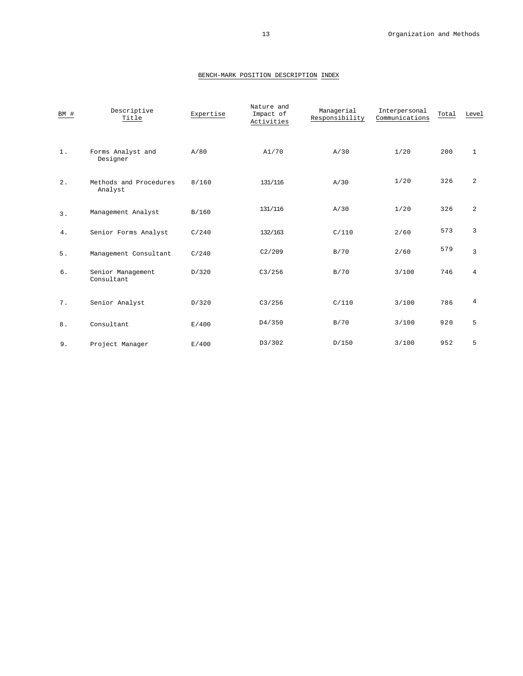| BM #  | Descriptive<br>Title              | Expertise | Nature and<br>Impact of<br>Activities | Managerial<br>Responsibility | Interpersonal<br>Communications | Total | Level          |
|-------|-----------------------------------|-----------|---------------------------------------|------------------------------|---------------------------------|-------|----------------|
| $1$ . | Forms Analyst and<br>Designer     | A/80      | A1/70                                 | A/30                         | 1/20                            | 200   | $\mathbf{1}$   |
| $2$ . | Methods and Procedures<br>Analyst | 8/160     | 131/116                               | A/30                         | 1/20                            | 326   | $\overline{a}$ |
| 3.    | Management Analyst                | B/160     | 131/116                               | A/30                         | 1/20                            | 326   | $\overline{a}$ |
| 4.    | Senior Forms Analyst              | C/240     | 132/163                               | C/110                        | 2/60                            | 573   | 3              |
| 5.    | Management Consultant             | C/240     | C2/209                                | B/70                         | 2/60                            | 579   | $\mathbf{3}$   |
| 6.    | Senior Management<br>Consultant   | D/320     | C3/256                                | B/70                         | 3/100                           | 746   | $\overline{4}$ |
| 7.    | Senior Analyst                    | D/320     | C3/256                                | C/110                        | 3/100                           | 786   | 4              |
| 8.    | Consultant                        | E/400     | D4/350                                | B/70                         | 3/100                           | 920   | 5              |
| 9.    | Project Manager                   | E/400     | D3/302                                | D/150                        | 3/100                           | 952   | 5              |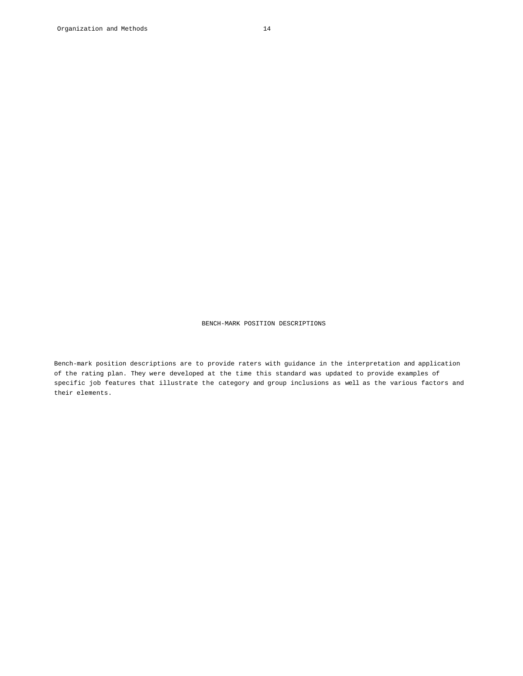Bench-mark position descriptions are to provide raters with guidance in the interpretation and application of the rating plan. They were developed at the time this standard was updated to provide examples of specific job features that illustrate the category and group inclusions as well as the various factors and their elements.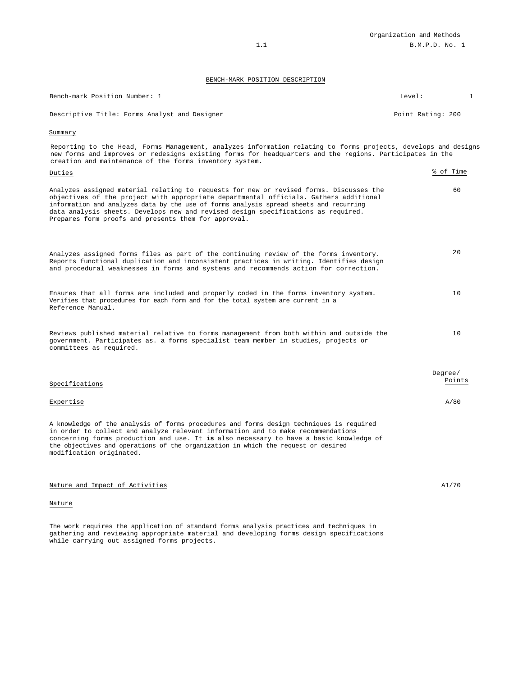| Bench-mark Position Number: 1                                                                                                                                                                                                                                                                                                                                                                                           | Level:            | $\mathbf{1}$ |
|-------------------------------------------------------------------------------------------------------------------------------------------------------------------------------------------------------------------------------------------------------------------------------------------------------------------------------------------------------------------------------------------------------------------------|-------------------|--------------|
| Descriptive Title: Forms Analyst and Designer                                                                                                                                                                                                                                                                                                                                                                           | Point Rating: 200 |              |
| Summary                                                                                                                                                                                                                                                                                                                                                                                                                 |                   |              |
| Reporting to the Head, Forms Management, analyzes information relating to forms projects, develops and designs<br>new forms and improves or redesigns existing forms for headquarters and the regions. Participates in the<br>creation and maintenance of the forms inventory system.                                                                                                                                   |                   |              |
| Duties                                                                                                                                                                                                                                                                                                                                                                                                                  |                   | % of Time    |
| Analyzes assigned material relating to requests for new or revised forms. Discusses the<br>objectives of the project with appropriate departmental officials. Gathers additional<br>information and analyzes data by the use of forms analysis spread sheets and recurring<br>data analysis sheets. Develops new and revised design specifications as required.<br>Prepares form proofs and presents them for approval. |                   | 60           |
| Analyzes assigned forms files as part of the continuing review of the forms inventory.<br>Reports functional duplication and inconsistent practices in writing. Identifies design<br>and procedural weaknesses in forms and systems and recommends action for correction.                                                                                                                                               |                   | 2.0          |
| Ensures that all forms are included and properly coded in the forms inventory system.<br>Verifies that procedures for each form and for the total system are current in a<br>Reference Manual.                                                                                                                                                                                                                          |                   | 10           |
| Reviews published material relative to forms management from both within and outside the<br>government. Participates as. a forms specialist team member in studies, projects or<br>committees as required.                                                                                                                                                                                                              |                   | 10           |
|                                                                                                                                                                                                                                                                                                                                                                                                                         |                   |              |
| Specifications                                                                                                                                                                                                                                                                                                                                                                                                          | Degree/           | Points       |
| Expertise                                                                                                                                                                                                                                                                                                                                                                                                               |                   | A/80         |
| A knowledge of the analysis of forms procedures and forms design techniques is required<br>in order to collect and analyze relevant information and to make recommendations<br>concerning forms production and use. It is also necessary to have a basic knowledge of<br>the objectives and operations of the organization in which the request or desired<br>modification originated.                                  |                   |              |
| Nature and Impact of Activities                                                                                                                                                                                                                                                                                                                                                                                         |                   | A1/70        |
| Nature                                                                                                                                                                                                                                                                                                                                                                                                                  |                   |              |

The work requires the application of standard forms analysis practices and techniques in gathering and reviewing appropriate material and developing forms design specifications while carrying out assigned forms projects.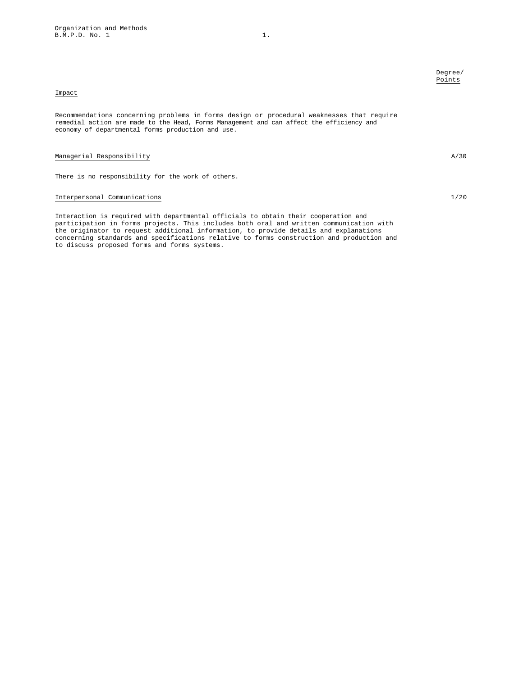# Impact

Recommendations concerning problems in forms design or procedural weaknesses that require remedial action are made to the Head, Forms Management and can affect the efficiency and economy of departmental forms production and use.

# Managerial Responsibility  $A/30$

There is no responsibility for the work of others.

# Interpersonal Communications 1/20

Interaction is required with departmental officials to obtain their cooperation and participation in forms projects. This includes both oral and written communication with the originator to request additional information, to provide details and explanations concerning standards and specifications relative to forms construction and production and to discuss proposed forms and forms systems.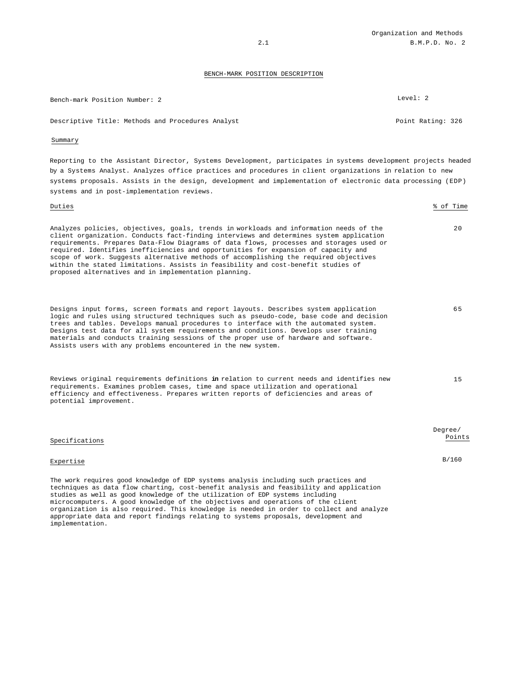| Bench-mark Position Number: 2                     | Level: 2          |
|---------------------------------------------------|-------------------|
| Descriptive Title: Methods and Procedures Analyst | Point Rating: 326 |

# Summary

Reporting to the Assistant Director, Systems Development, participates in systems development projects headed by a Systems Analyst. Analyzes office practices and procedures in client organizations in relation to new systems proposals. Assists in the design, development and implementation of electronic data processing (EDP) systems and in post-implementation reviews.

| Duties                                                                                                                                                                                                                                                                                                                                                                                                                                                                                                                                                                                                    | % of Time         |
|-----------------------------------------------------------------------------------------------------------------------------------------------------------------------------------------------------------------------------------------------------------------------------------------------------------------------------------------------------------------------------------------------------------------------------------------------------------------------------------------------------------------------------------------------------------------------------------------------------------|-------------------|
| Analyzes policies, objectives, goals, trends in workloads and information needs of the<br>client organization. Conducts fact-finding interviews and determines system application<br>requirements. Prepares Data-Flow Diagrams of data flows, processes and storages used or<br>required. Identifies inefficiencies and opportunities for expansion of capacity and<br>scope of work. Suggests alternative methods of accomplishing the required objectives<br>within the stated limitations. Assists in feasibility and cost-benefit studies of<br>proposed alternatives and in implementation planning. | 20                |
| Designs input forms, screen formats and report layouts. Describes system application<br>logic and rules using structured techniques such as pseudo-code, base code and decision<br>trees and tables. Develops manual procedures to interface with the automated system.<br>Designs test data for all system requirements and conditions. Develops user training<br>materials and conducts training sessions of the proper use of hardware and software.<br>Assists users with any problems encountered in the new system.                                                                                 | 65                |
| Reviews original requirements definitions in relation to current needs and identifies new<br>requirements. Examines problem cases, time and space utilization and operational<br>efficiency and effectiveness. Prepares written reports of deficiencies and areas of<br>potential improvement.                                                                                                                                                                                                                                                                                                            | 15                |
| Specifications                                                                                                                                                                                                                                                                                                                                                                                                                                                                                                                                                                                            | Degree/<br>Points |
| Expertise                                                                                                                                                                                                                                                                                                                                                                                                                                                                                                                                                                                                 | B/160             |
| The work requires good knowledge of EDP systems analysis including such practices and<br>techniques as data flow charting, cost-benefit analysis and feasibility and application<br>studies as well as good knowledge of the utilization of EDP systems including                                                                                                                                                                                                                                                                                                                                         |                   |

studies as well as good knowledge of the utilization of EDP systems including microcomputers. A good knowledge of the objectives and operations of the client organization is also required. This knowledge is needed in order to collect and analyze appropriate data and report findings relating to systems proposals, development and implementation.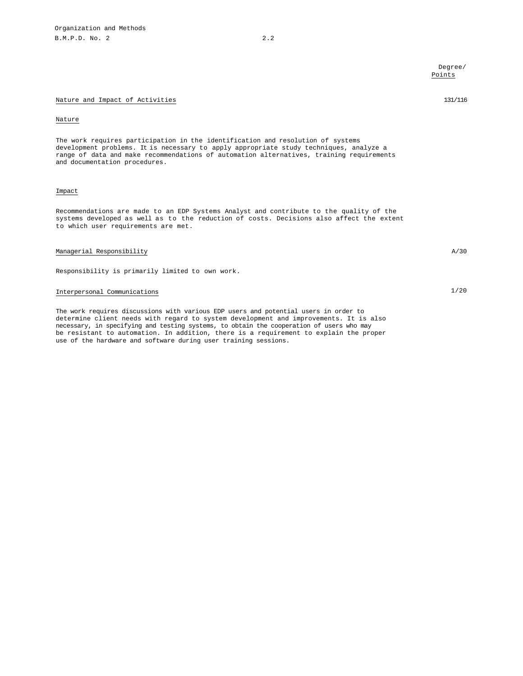# Nature and Impact of Activities 131/116

#### Nature

The work requires participation in the identification and resolution of systems development problems. It is necessary to apply appropriate study techniques, analyze a range of data and make recommendations of automation alternatives, training requirements and documentation procedures.

# Impact

Recommendations are made to an EDP Systems Analyst and contribute to the quality of the systems developed as well as to the reduction of costs. Decisions also affect the extent to which user requirements are met.

# Managerial Responsibility A/30

Responsibility is primarily limited to own work.

# Interpersonal Communications 1/20

The work requires discussions with various EDP users and potential users in order to determine client needs with regard to system development and improvements. It is also necessary, in specifying and testing systems, to obtain the cooperation of users who may be resistant to automation. In addition, there is a requirement to explain the proper use of the hardware and software during user training sessions.

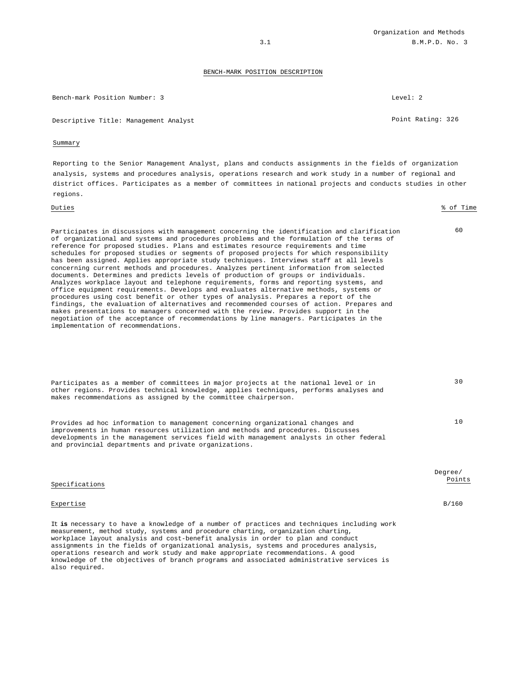Bench-mark Position Number: 3 Level: 2

Descriptive Title: Management Analyst Point Rating: 326

#### Summary

Reporting to the Senior Management Analyst, plans and conducts assignments in the fields of organization analysis, systems and procedures analysis, operations research and work study in a number of regional and district offices. Participates as a member of committees in national projects and conducts studies in other regions.

# Duties % of Time Participates in discussions with management concerning the identification and clarification of organizational and systems and procedures problems and the formulation of the terms of reference for proposed studies. Plans and estimates resource requirements and time schedules for proposed studies or segments of proposed projects for which responsibility has been assigned. Applies appropriate study techniques. Interviews staff at all levels concerning current methods and procedures. Analyzes pertinent information from selected documents. Determines and predicts levels of production of groups or individuals. Analyzes workplace layout and telephone requirements, forms and reporting systems, and office equipment requirements. Develops and evaluates alternative methods, systems or procedures using cost benefit or other types of analysis. Prepares a report of the findings, the evaluation of alternatives and recommended courses of action. Prepares and makes presentations to managers concerned with the review. Provides support in the negotiation of the acceptance of recommendations by line managers. Participates in the implementation of recommendations.

| Participates as a member of committees in major projects at the national level or in<br>other regions. Provides technical knowledge, applies techniques, performs analyses and<br>makes recommendations as assigned by the committee chairperson. | 30 D |
|---------------------------------------------------------------------------------------------------------------------------------------------------------------------------------------------------------------------------------------------------|------|
| Provides ad hoc information to management concerning organizational changes and                                                                                                                                                                   | າ ດ  |

improvements in human resources utilization and methods and procedures. Discusses developments in the management services field with management analysts in other federal and provincial departments and private organizations.

|                                                                                                                                                                                 | Degree/<br>Points |
|---------------------------------------------------------------------------------------------------------------------------------------------------------------------------------|-------------------|
| Specifications                                                                                                                                                                  |                   |
| Expertise                                                                                                                                                                       | B/160             |
| It is necessary to have a knowledge of a number of practices and techniques including work<br>measurement, method study, systems and procedure charting, organization charting, |                   |

workplace layout analysis and cost-benefit analysis in order to plan and conduct assignments in the fields of organizational analysis, systems and procedures analysis, operations research and work study and make appropriate recommendations. A good knowledge of the objectives of branch programs and associated administrative services is also required.

60

 $30$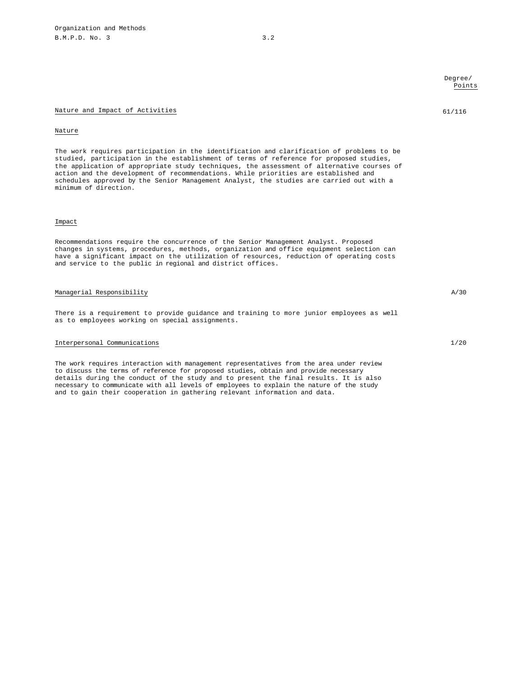#### Nature and Impact of Activities 61/116

#### Nature

The work requires participation in the identification and clarification of problems to be studied, participation in the establishment of terms of reference for proposed studies, the application of appropriate study techniques, the assessment of alternative courses of action and the development of recommendations. While priorities are established and schedules approved by the Senior Management Analyst, the studies are carried out with a minimum of direction.

#### Impact

Recommendations require the concurrence of the Senior Management Analyst. Proposed changes in systems, procedures, methods, organization and office equipment selection can have a significant impact on the utilization of resources, reduction of operating costs and service to the public in regional and district offices.

# Managerial Responsibility A/30

There is a requirement to provide guidance and training to more junior employees as well as to employees working on special assignments.

# Interpersonal Communications 1/20

The work requires interaction with management representatives from the area under review to discuss the terms of reference for proposed studies, obtain and provide necessary details during the conduct of the study and to present the final results. It is also necessary to communicate with all levels of employees to explain the nature of the study and to gain their cooperation in gathering relevant information and data.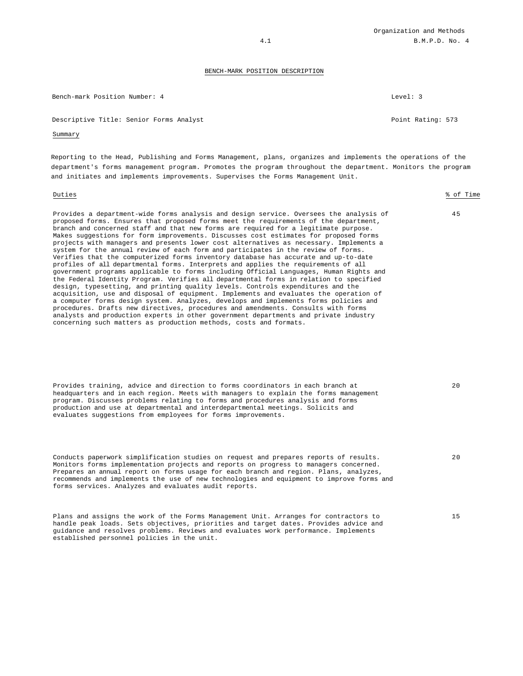Bench-mark Position Number: 4 Level: 3

Descriptive Title: Senior Forms Analyst Point Rating: 573

# Summary

Reporting to the Head, Publishing and Forms Management, plans, organizes and implements the operations of the department's forms management program. Promotes the program throughout the department. Monitors the program and initiates and implements improvements. Supervises the Forms Management Unit.

#### Duties % of Time

45

Provides a department-wide forms analysis and design service. Oversees the analysis of proposed forms. Ensures that proposed forms meet the requirements of the department, branch and concerned staff and that new forms are required for a legitimate purpose. Makes suggestions for form improvements. Discusses cost estimates for proposed forms projects with managers and presents lower cost alternatives as necessary. Implements a system for the annual review of each form and participates in the review of forms. Verifies that the computerized forms inventory database has accurate and up-to-date profiles of all departmental forms. Interprets and applies the requirements of all government programs applicable to forms including Official Languages, Human Rights and the Federal Identity Program. Verifies all departmental forms in relation to specified design, typesetting, and printing quality levels. Controls expenditures and the acquisition, use and disposal of equipment. Implements and evaluates the operation of a computer forms design system. Analyzes, develops and implements forms policies and procedures. Drafts new directives, procedures and amendments. Consults with forms analysts and production experts in other government departments and private industry concerning such matters as production methods, costs and formats.

Provides training, advice and direction to forms coordinators in each branch at headquarters and in each region. Meets with managers to explain the forms management program. Discusses problems relating to forms and procedures analysis and forms production and use at departmental and interdepartmental meetings. Solicits and evaluates suggestions from employees for forms improvements.

Conducts paperwork simplification studies on request and prepares reports of results. Monitors forms implementation projects and reports on progress to managers concerned. Prepares an annual report on forms usage for each branch and region. Plans, analyzes, recommends and implements the use of new technologies and equipment to improve forms and forms services. Analyzes and evaluates audit reports.

Plans and assigns the work of the Forms Management Unit. Arranges for contractors to handle peak loads. Sets objectives, priorities and target dates. Provides advice and guidance and resolves problems. Reviews and evaluates work performance. Implements established personnel policies in the unit.

20

20

15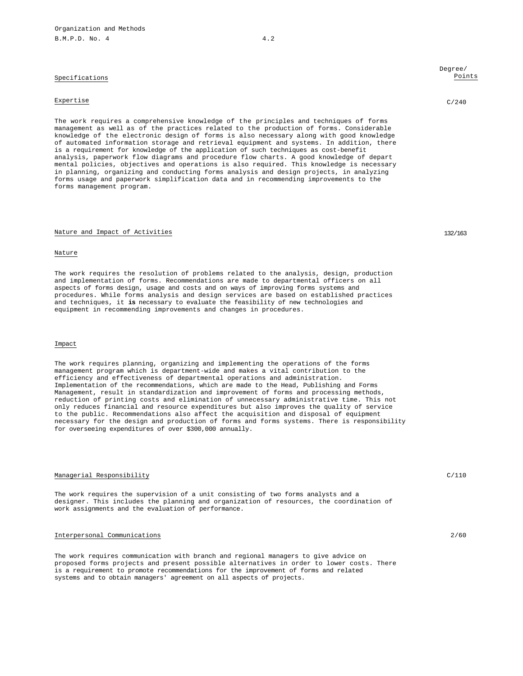# Specifications

# Expertise C/240

The work requires a comprehensive knowledge of the principles and techniques of forms management as well as of the practices related to the production of forms. Considerable knowledge of the electronic design of forms is also necessary along with good knowledge of automated information storage and retrieval equipment and systems. In addition, there is a requirement for knowledge of the application of such techniques as cost-benefit analysis, paperwork flow diagrams and procedure flow charts. A good knowledge of depart mental policies, objectives and operations is also required. This knowledge is necessary in planning, organizing and conducting forms analysis and design projects, in analyzing forms usage and paperwork simplification data and in recommending improvements to the forms management program.

### Nature and Impact of Activities 132/163

#### Nature

The work requires the resolution of problems related to the analysis, design, production and implementation of forms. Recommendations are made to departmental officers on all aspects of forms design, usage and costs and on ways of improving forms systems and procedures. While forms analysis and design services are based on established practices and techniques, it **is** necessary to evaluate the feasibility of new technologies and equipment in recommending improvements and changes in procedures.

# Impact

The work requires planning, organizing and implementing the operations of the forms management program which is department-wide and makes a vital contribution to the efficiency and effectiveness of departmental operations and administration. Implementation of the recommendations, which are made to the Head, Publishing and Forms Management, result in standardization and improvement of forms and processing methods, reduction of printing costs and elimination of unnecessary administrative time. This not only reduces financial and resource expenditures but also improves the quality of service to the public. Recommendations also affect the acquisition and disposal of equipment necessary for the design and production of forms and forms systems. There is responsibility for overseeing expenditures of over \$300,000 annually.

# Managerial Responsibility C/110

The work requires the supervision of a unit consisting of two forms analysts and a designer. This includes the planning and organization of resources, the coordination of work assignments and the evaluation of performance.

# Interpersonal Communications 2/60

The work requires communication with branch and regional managers to give advice on proposed forms projects and present possible alternatives in order to lower costs. There is a requirement to promote recommendations for the improvement of forms and related systems and to obtain managers' agreement on all aspects of projects.

# Degree/ Points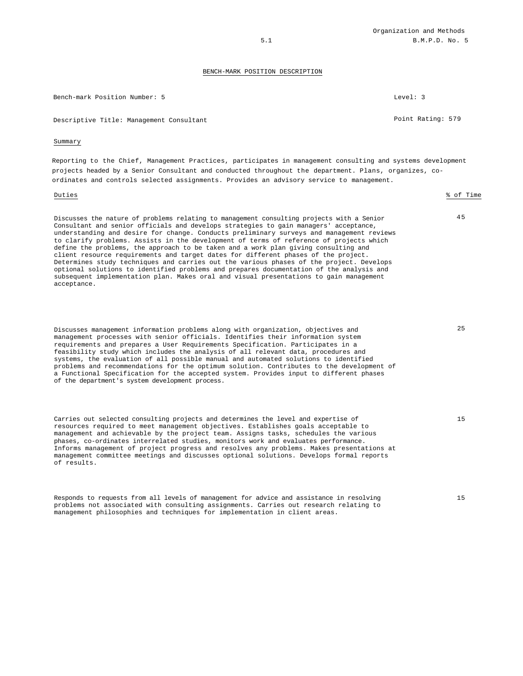| Bench-mark Position Number: 5                                                                                                                                                                                                                                                                                                                                                                                                                                                                                                                                                                                                                                                                                                                                                                                                                          | Level: 3          |  |
|--------------------------------------------------------------------------------------------------------------------------------------------------------------------------------------------------------------------------------------------------------------------------------------------------------------------------------------------------------------------------------------------------------------------------------------------------------------------------------------------------------------------------------------------------------------------------------------------------------------------------------------------------------------------------------------------------------------------------------------------------------------------------------------------------------------------------------------------------------|-------------------|--|
| Descriptive Title: Management Consultant                                                                                                                                                                                                                                                                                                                                                                                                                                                                                                                                                                                                                                                                                                                                                                                                               | Point Rating: 579 |  |
| Summary                                                                                                                                                                                                                                                                                                                                                                                                                                                                                                                                                                                                                                                                                                                                                                                                                                                |                   |  |
| Reporting to the Chief, Management Practices, participates in management consulting and systems development<br>projects headed by a Senior Consultant and conducted throughout the department. Plans, organizes, co-<br>ordinates and controls selected assignments. Provides an advisory service to management.                                                                                                                                                                                                                                                                                                                                                                                                                                                                                                                                       |                   |  |
| Duties                                                                                                                                                                                                                                                                                                                                                                                                                                                                                                                                                                                                                                                                                                                                                                                                                                                 | % of Time         |  |
| Discusses the nature of problems relating to management consulting projects with a Senior<br>Consultant and senior officials and develops strategies to gain managers' acceptance,<br>understanding and desire for change. Conducts preliminary surveys and management reviews<br>to clarify problems. Assists in the development of terms of reference of projects which<br>define the problems, the approach to be taken and a work plan giving consulting and<br>client resource requirements and target dates for different phases of the project.<br>Determines study techniques and carries out the various phases of the project. Develops<br>optional solutions to identified problems and prepares documentation of the analysis and<br>subsequent implementation plan. Makes oral and visual presentations to gain management<br>acceptance. | 45                |  |
| Discusses management information problems along with organization, objectives and<br>management processes with senior officials. Identifies their information system<br>requirements and prepares a User Requirements Specification. Participates in a<br>feasibility study which includes the analysis of all relevant data, procedures and<br>systems, the evaluation of all possible manual and automated solutions to identified<br>problems and recommendations for the optimum solution. Contributes to the development of<br>a Functional Specification for the accepted system. Provides input to different phases<br>of the department's system development process.                                                                                                                                                                          | 25                |  |
| Carries out selected consulting projects and determines the level and expertise of<br>resources required to meet management objectives. Establishes goals acceptable to<br>management and achievable by the project team. Assigns tasks, schedules the various<br>phases, co-ordinates interrelated studies, monitors work and evaluates performance.<br>Informs management of project progress and resolves any problems. Makes presentations at<br>management committee meetings and discusses optional solutions. Develops formal reports<br>of results.                                                                                                                                                                                                                                                                                            | 1.5               |  |
| Responds to requests from all levels of management for advice and assistance in resolving<br>problems not associated with consulting assignments. Carries out research relating to<br>management philosophies and techniques for implementation in client areas.                                                                                                                                                                                                                                                                                                                                                                                                                                                                                                                                                                                       | 15                |  |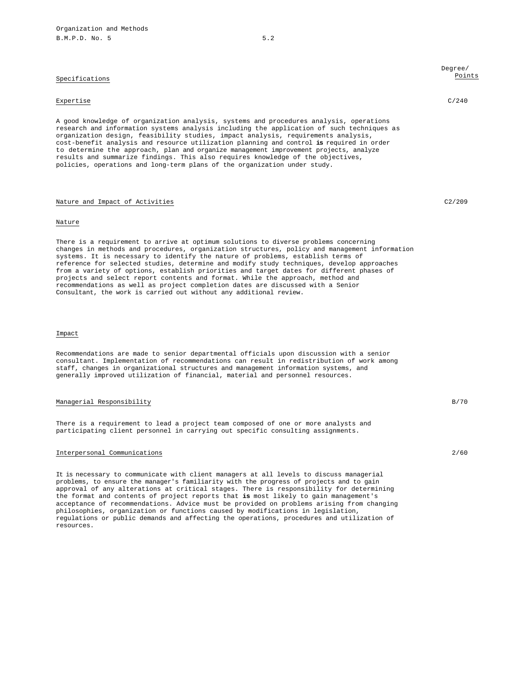# Specifications

#### Expertise C/240

A good knowledge of organization analysis, systems and procedures analysis, operations research and information systems analysis including the application of such techniques as organization design, feasibility studies, impact analysis, requirements analysis, cost-benefit analysis and resource utilization planning and control **is** required in order to determine the approach, plan and organize management improvement projects, analyze results and summarize findings. This also requires knowledge of the objectives, policies, operations and long-term plans of the organization under study.

# Nature and Impact of Activities C2/209

### Nature

There is a requirement to arrive at optimum solutions to diverse problems concerning changes in methods and procedures, organization structures, policy and management information systems. It is necessary to identify the nature of problems, establish terms of reference for selected studies, determine and modify study techniques, develop approaches from a variety of options, establish priorities and target dates for different phases of projects and select report contents and format. While the approach, method and recommendations as well as project completion dates are discussed with a Senior Consultant, the work is carried out without any additional review.

### Impact

Recommendations are made to senior departmental officials upon discussion with a senior consultant. Implementation of recommendations can result in redistribution of work among staff, changes in organizational structures and management information systems, and generally improved utilization of financial, material and personnel resources.

# Managerial Responsibility **B**/70

There is a requirement to lead a project team composed of one or more analysts and participating client personnel in carrying out specific consulting assignments.

# Interpersonal Communications 2/60

It is necessary to communicate with client managers at all levels to discuss managerial problems, to ensure the manager's familiarity with the progress of projects and to gain approval of any alterations at critical stages. There is responsibility for determining the format and contents of project reports that **is** most likely to gain management's acceptance of recommendations. Advice must be provided on problems arising from changing philosophies, organization or functions caused by modifications in legislation, regulations or public demands and affecting the operations, procedures and utilization of resources.

Degree/ Points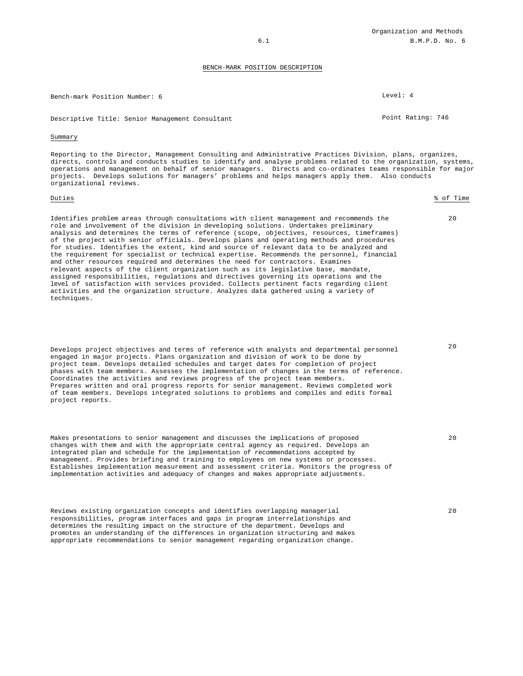Bench-mark Position Number: 6 Level: 4

Descriptive Title: Senior Management Consultant **Point Rating: 746** Point Rating: 746

#### Summary

Reporting to the Director, Management Consulting and Administrative Practices Division, plans, organizes, directs, controls and conducts studies to identify and analyse problems related to the organization, systems, operations and management on behalf of senior managers. Directs and co-ordinates teams responsible for major projects. Develops solutions for managers' problems and helps managers apply them. Also conducts organizational reviews.

#### Duties % of Time

Identifies problem areas through consultations with client management and recommends the role and involvement of the division in developing solutions. Undertakes preliminary analysis and determines the terms of reference (scope, objectives, resources, timeframes) of the project with senior officials. Develops plans and operating methods and procedures for studies. Identifies the extent, kind and source of relevant data to be analyzed and the requirement for specialist or technical expertise. Recommends the personnel, financial and other resources required and determines the need for contractors. Examines relevant aspects of the client organization such as its legislative base, mandate, assigned responsibilities, regulations and directives governing its operations and the level of satisfaction with services provided. Collects pertinent facts regarding client activities and the organization structure. Analyzes data gathered using a variety of techniques.

Develops project objectives and terms of reference with analysts and departmental personnel engaged in major projects. Plans organization and division of work to be done by project team. Develops detailed schedules and target dates for completion of project phases with team members. Assesses the implementation of changes in the terms of reference. Coordinates the activities and reviews progress of the project team members. Prepares written and oral progress reports for senior management. Reviews completed work of team members. Develops integrated solutions to problems and compiles and edits formal project reports.

Makes presentations to senior management and discusses the implications of proposed changes with them and with the appropriate central agency as required. Develops an integrated plan and schedule for the implementation of recommendations accepted by management. Provides briefing and training to employees on new systems or processes. Establishes implementation measurement and assessment criteria. Monitors the progress of implementation activities and adequacy of changes and makes appropriate adjustments.

Reviews existing organization concepts and identifies overlapping managerial responsibilities, program interfaces and gaps in program interrelationships and determines the resulting impact on the structure of the department. Develops and promotes an understanding of the differences in organization structuring and makes appropriate recommendations to senior management regarding organization change.

 $2.0$ 

 $20$ 

20

20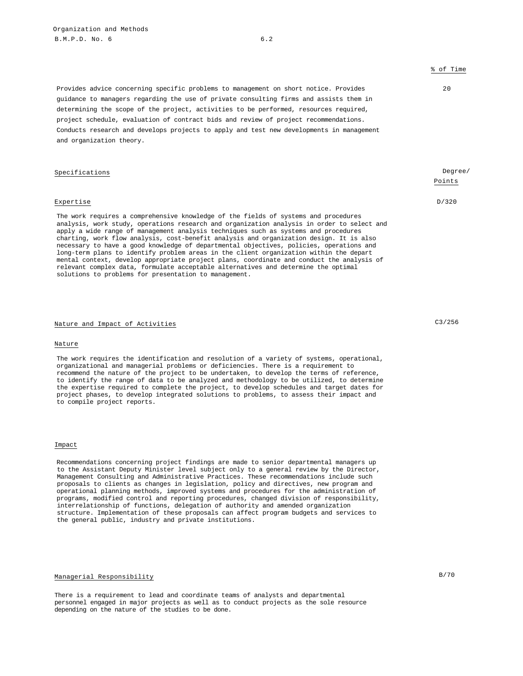# % of Time

 $20$ 

Points

# Provides advice concerning specific problems to management on short notice. Provides guidance to managers regarding the use of private consulting firms and assists them in determining the scope of the project, activities to be performed, resources required, project schedule, evaluation of contract bids and review of project recommendations. Conducts research and develops projects to apply and test new developments in management and organization theory.

# Specifications **Degree/**

# Expertise D/320

The work requires a comprehensive knowledge of the fields of systems and procedures analysis, work study, operations research and organization analysis in order to select and apply a wide range of management analysis techniques such as systems and procedures charting, work flow analysis, cost-benefit analysis and organization design. It is also necessary to have a good knowledge of departmental objectives, policies, operations and long-term plans to identify problem areas in the client organization within the depart mental context, develop appropriate project plans, coordinate and conduct the analysis of relevant complex data, formulate acceptable alternatives and determine the optimal solutions to problems for presentation to management.

# Nature and Impact of Activities C3/256

#### Nature

The work requires the identification and resolution of a variety of systems, operational, organizational and managerial problems or deficiencies. There is a requirement to recommend the nature of the project to be undertaken, to develop the terms of reference, to identify the range of data to be analyzed and methodology to be utilized, to determine the expertise required to complete the project, to develop schedules and target dates for project phases, to develop integrated solutions to problems, to assess their impact and to compile project reports.

#### Impact

Recommendations concerning project findings are made to senior departmental managers up to the Assistant Deputy Minister level subject only to a general review by the Director, Management Consulting and Administrative Practices. These recommendations include such proposals to clients as changes in legislation, policy and directives, new program and operational planning methods, improved systems and procedures for the administration of programs, modified control and reporting procedures, changed division of responsibility, interrelationship of functions, delegation of authority and amended organization structure. Implementation of these proposals can affect program budgets and services to the general public, industry and private institutions.

# Managerial Responsibility B/70

There is a requirement to lead and coordinate teams of analysts and departmental personnel engaged in major projects as well as to conduct projects as the sole resource depending on the nature of the studies to be done.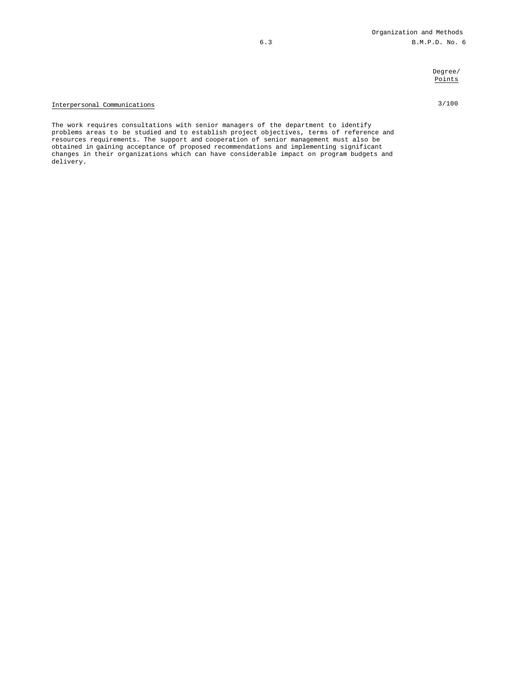# Degree/ Points

# Interpersonal Communications 3/100

The work requires consultations with senior managers of the department to identify problems areas to be studied and to establish project objectives, terms of reference and resources requirements. The support and cooperation of senior management must also be obtained in gaining acceptance of proposed recommendations and implementing significant changes in their organizations which can have considerable impact on program budgets and delivery.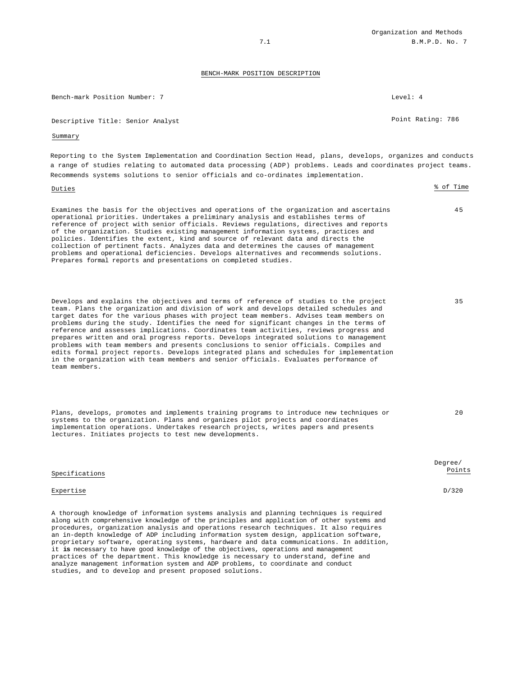35

20

#### BENCH-MARK POSITION DESCRIPTION

| Bench-mark Position Number: 7     | Level: 4          |
|-----------------------------------|-------------------|
| Descriptive Title: Senior Analyst | Point Rating: 786 |

#### Summary

Reporting to the System Implementation and Coordination Section Head, plans, develops, organizes and conducts a range of studies relating to automated data processing (ADP) problems. Leads and coordinates project teams. Recommends systems solutions to senior officials and co-ordinates implementation.

| Duties                                                                                                                                                                                                                                                                                                                                                                                                                                                                                                                                                                                                                                                                                                    | % of Time |
|-----------------------------------------------------------------------------------------------------------------------------------------------------------------------------------------------------------------------------------------------------------------------------------------------------------------------------------------------------------------------------------------------------------------------------------------------------------------------------------------------------------------------------------------------------------------------------------------------------------------------------------------------------------------------------------------------------------|-----------|
| Examines the basis for the objectives and operations of the organization and ascertains<br>operational priorities. Undertakes a preliminary analysis and establishes terms of<br>reference of project with senior officials. Reviews requlations, directives and reports<br>of the organization. Studies existing management information systems, practices and<br>policies. Identifies the extent, kind and source of relevant data and directs the<br>collection of pertinent facts. Analyzes data and determines the causes of management<br>problems and operational deficiencies. Develops alternatives and recommends solutions.<br>Prepares formal reports and presentations on completed studies. | 45        |
|                                                                                                                                                                                                                                                                                                                                                                                                                                                                                                                                                                                                                                                                                                           |           |

Develops and explains the objectives and terms of reference of studies to the project team. Plans the organization and division of work and develops detailed schedules and target dates for the various phases with project team members. Advises team members on problems during the study. Identifies the need for significant changes in the terms of reference and assesses implications. Coordinates team activities, reviews progress and prepares written and oral progress reports. Develops integrated solutions to management problems with team members and presents conclusions to senior officials. Compiles and edits formal project reports. Develops integrated plans and schedules for implementation in the organization with team members and senior officials. Evaluates performance of team members.

Plans, develops, promotes and implements training programs to introduce new techniques or systems to the organization. Plans and organizes pilot projects and coordinates implementation operations. Undertakes research projects, writes papers and presents lectures. Initiates projects to test new developments.

| Specifications | Degree/<br>Points |
|----------------|-------------------|
| Expertise      | D/320             |
|                |                   |

A thorough knowledge of information systems analysis and planning techniques is required along with comprehensive knowledge of the principles and application of other systems and procedures, organization analysis and operations research techniques. It also requires an in-depth knowledge of ADP including information system design, application software, proprietary software, operating systems, hardware and data communications. In addition, it **is** necessary to have good knowledge of the objectives, operations and management practices of the department. This knowledge is necessary to understand, define and analyze management information system and ADP problems, to coordinate and conduct studies, and to develop and present proposed solutions.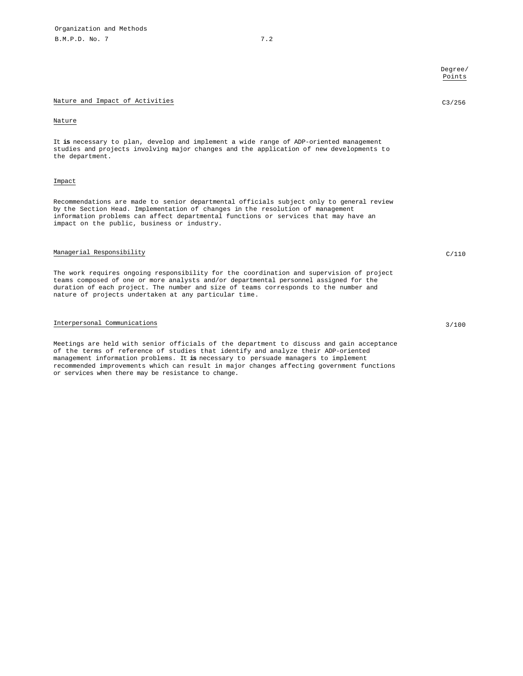|                                                                                                                                                                                                                                                                                                                                    | Degree/<br>Points |
|------------------------------------------------------------------------------------------------------------------------------------------------------------------------------------------------------------------------------------------------------------------------------------------------------------------------------------|-------------------|
| Nature and Impact of Activities                                                                                                                                                                                                                                                                                                    | C3/256            |
| Nature                                                                                                                                                                                                                                                                                                                             |                   |
| It is necessary to plan, develop and implement a wide range of ADP-oriented management<br>studies and projects involving major changes and the application of new developments to<br>the department.                                                                                                                               |                   |
| Impact                                                                                                                                                                                                                                                                                                                             |                   |
| Recommendations are made to senior departmental officials subject only to general review<br>by the Section Head. Implementation of changes in the resolution of management<br>information problems can affect departmental functions or services that may have an<br>impact on the public, business or industry.                   |                   |
| Managerial Responsibility                                                                                                                                                                                                                                                                                                          | C/110             |
| The work requires ongoing responsibility for the coordination and supervision of project<br>teams composed of one or more analysts and/or departmental personnel assigned for the<br>duration of each project. The number and size of teams corresponds to the number and<br>nature of projects undertaken at any particular time. |                   |
| Interpersonal Communications                                                                                                                                                                                                                                                                                                       | 3/100             |
| Meetings are held with senior officials of the department to discuss and gain acceptance<br>of the terms of reference of studies that identify and analyze their ADP-oriented<br>management information problems. It is necessary to persuade managers to implement                                                                |                   |

recommended improvements which can result in major changes affecting government functions or services when there may be resistance to change.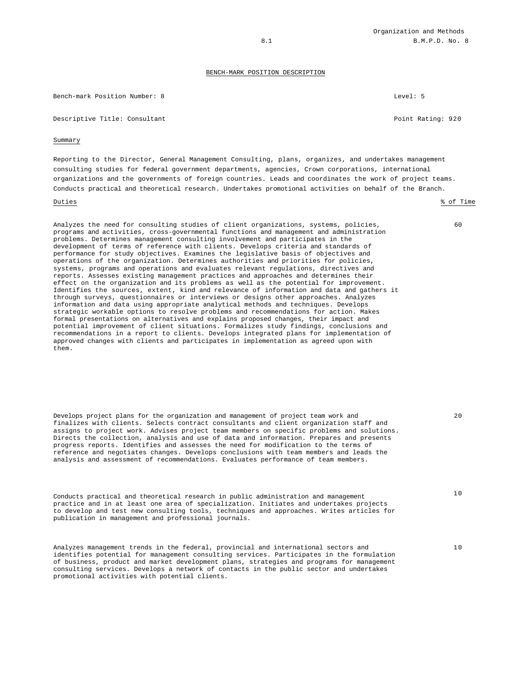Bench-mark Position Number: 8 Level: 5

Descriptive Title: Consultant **Point Rating: 920** 

#### Summary

Reporting to the Director, General Management Consulting, plans, organizes, and undertakes management consulting studies for federal government departments, agencies, Crown corporations, international organizations and the governments of foreign countries. Leads and coordinates the work of project teams. Conducts practical and theoretical research. Undertakes promotional activities on behalf of the Branch.

#### Duties % of Time

Analyzes the need for consulting studies of client organizations, systems, policies, programs and activities, cross-governmental functions and management and administration problems. Determines management consulting involvement and participates in the development of terms of reference with clients. Develops criteria and standards of performance for study objectives. Examines the legislative basis of objectives and operations of the organization. Determines authorities and priorities for policies, systems, programs and operations and evaluates relevant regulations, directives and reports. Assesses existing management practices and approaches and determines their effect on the organization and its problems as well as the potential for improvement. Identifies the sources, extent, kind and relevance of information and data and gathers it through surveys, questionnaires or interviews or designs other approaches. Analyzes information and data using appropriate analytical methods and techniques. Develops strategic workable options to resolve problems and recommendations for action. Makes formal presentations on alternatives and explains proposed changes, their impact and potential improvement of client situations. Formalizes study findings, conclusions and recommendations in a report to clients. Develops integrated plans for implementation of approved changes with clients and participates in implementation as agreed upon with them.

Develops project plans for the organization and management of project team work and finalizes with clients. Selects contract consultants and client organization staff and assigns to project work. Advises project team members on specific problems and solutions. Directs the collection, analysis and use of data and information. Prepares and presents progress reports. Identifies and assesses the need for modification to the terms of reference and negotiates changes. Develops conclusions with team members and leads the analysis and assessment of recommendations. Evaluates performance of team members.

Conducts practical and theoretical research in public administration and management practice and in at least one area of specialization. Initiates and undertakes projects to develop and test new consulting tools, techniques and approaches. Writes articles for publication in management and professional journals.

Analyzes management trends in the federal, provincial and international sectors and identifies potential for management consulting services. Participates in the formulation of business, product and market development plans, strategies and programs for management consulting services. Develops a network of contacts in the public sector and undertakes promotional activities with potential clients.

 $60$ 

 $20$ 

10

10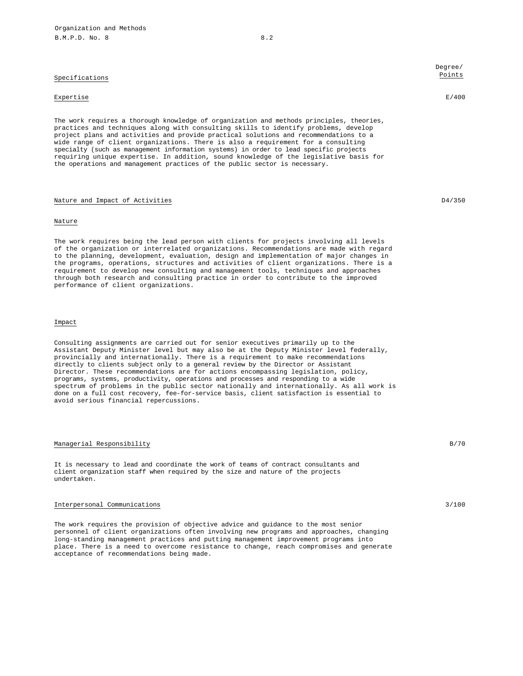Specifications

#### Expertise E/400

The work requires a thorough knowledge of organization and methods principles, theories, practices and techniques along with consulting skills to identify problems, develop project plans and activities and provide practical solutions and recommendations to a wide range of client organizations. There is also a requirement for a consulting specialty (such as management information systems) in order to lead specific projects requiring unique expertise. In addition, sound knowledge of the legislative basis for the operations and management practices of the public sector is necessary.

# Nature and Impact of Activities **D4/350**

#### Nature

The work requires being the lead person with clients for projects involving all levels of the organization or interrelated organizations. Recommendations are made with regard to the planning, development, evaluation, design and implementation of major changes in the programs, operations, structures and activities of client organizations. There is a requirement to develop new consulting and management tools, techniques and approaches through both research and consulting practice in order to contribute to the improved performance of client organizations.

# Impact

Consulting assignments are carried out for senior executives primarily up to the Assistant Deputy Minister level but may also be at the Deputy Minister level federally, provincially and internationally. There is a requirement to make recommendations directly to clients subject only to a general review by the Director or Assistant Director. These recommendations are for actions encompassing legislation, policy, programs, systems, productivity, operations and processes and responding to a wide spectrum of problems in the public sector nationally and internationally. As all work is done on a full cost recovery, fee-for-service basis, client satisfaction is essential to avoid serious financial repercussions.

### Managerial Responsibility B/70

It is necessary to lead and coordinate the work of teams of contract consultants and client organization staff when required by the size and nature of the projects undertaken.

# Interpersonal Communications 3/100

The work requires the provision of objective advice and guidance to the most senior personnel of client organizations often involving new programs and approaches, changing long-standing management practices and putting management improvement programs into place. There is a need to overcome resistance to change, reach compromises and generate acceptance of recommendations being made.

Degree/ Points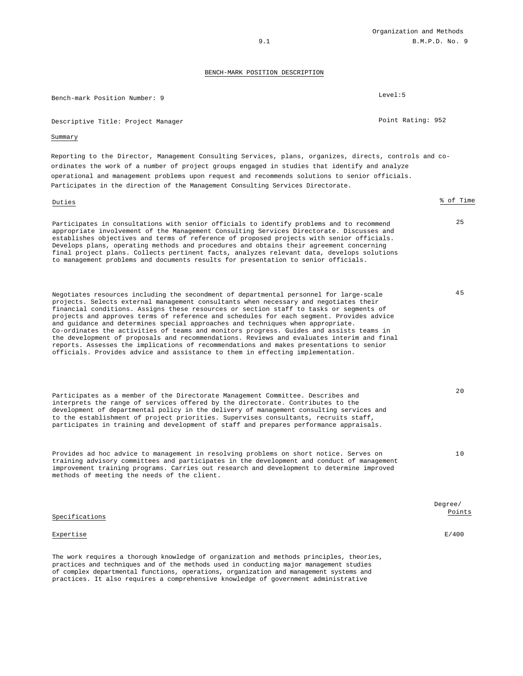Organization and Methods 9.1 B.M.P.D. No. 9

# BENCH-MARK POSITION DESCRIPTION

| Bench-mark Position Number: 9                                                                                                                                                                                                                                                                                                                                                                                                                                                                                                                                                                                                                                                                                                                                                                                                  | Level:5           |
|--------------------------------------------------------------------------------------------------------------------------------------------------------------------------------------------------------------------------------------------------------------------------------------------------------------------------------------------------------------------------------------------------------------------------------------------------------------------------------------------------------------------------------------------------------------------------------------------------------------------------------------------------------------------------------------------------------------------------------------------------------------------------------------------------------------------------------|-------------------|
| Descriptive Title: Project Manager                                                                                                                                                                                                                                                                                                                                                                                                                                                                                                                                                                                                                                                                                                                                                                                             | Point Rating: 952 |
| Summary                                                                                                                                                                                                                                                                                                                                                                                                                                                                                                                                                                                                                                                                                                                                                                                                                        |                   |
| -Reporting to the Director, Management Consulting Services, plans, organizes, directs, controls and co<br>ordinates the work of a number of project groups engaged in studies that identify and analyze<br>operational and management problems upon request and recommends solutions to senior officials.<br>Participates in the direction of the Management Consulting Services Directorate.                                                                                                                                                                                                                                                                                                                                                                                                                                  |                   |
| Duties                                                                                                                                                                                                                                                                                                                                                                                                                                                                                                                                                                                                                                                                                                                                                                                                                         | % of Time         |
| Participates in consultations with senior officials to identify problems and to recommend<br>appropriate involvement of the Management Consulting Services Directorate. Discusses and<br>establishes objectives and terms of reference of proposed projects with senior officials.<br>Develops plans, operating methods and procedures and obtains their agreement concerning<br>final project plans. Collects pertinent facts, analyzes relevant data, develops solutions<br>to management problems and documents results for presentation to senior officials.                                                                                                                                                                                                                                                               | 25                |
| Negotiates resources including the secondment of departmental personnel for large-scale<br>projects. Selects external management consultants when necessary and negotiates their<br>financial conditions. Assigns these resources or section staff to tasks or segments of<br>projects and approves terms of reference and schedules for each segment. Provides advice<br>and guidance and determines special approaches and techniques when appropriate.<br>Co-ordinates the activities of teams and monitors progress. Guides and assists teams in<br>the development of proposals and recommendations. Reviews and evaluates interim and final<br>reports. Assesses the implications of recommendations and makes presentations to senior<br>officials. Provides advice and assistance to them in effecting implementation. | 45                |
| Participates as a member of the Directorate Management Committee. Describes and<br>interprets the range of services offered by the directorate. Contributes to the<br>development of departmental policy in the delivery of management consulting services and<br>to the establishment of project priorities. Supervises consultants, recruits staff,<br>participates in training and development of staff and prepares performance appraisals.                                                                                                                                                                                                                                                                                                                                                                                | 20                |
| Provides ad hoc advice to management in resolving problems on short notice. Serves on<br>training advisory committees and participates in the development and conduct of management<br>improvement training programs. Carries out research and development to determine improved<br>methods of meeting the needs of the client.                                                                                                                                                                                                                                                                                                                                                                                                                                                                                                | 10                |
| Specifications                                                                                                                                                                                                                                                                                                                                                                                                                                                                                                                                                                                                                                                                                                                                                                                                                 | Degree/<br>Points |
| Expertise                                                                                                                                                                                                                                                                                                                                                                                                                                                                                                                                                                                                                                                                                                                                                                                                                      | E/400             |
| The work requires a thorough knowledge of organization and methods principles, theories,<br>practices and techniques and of the methods used in conducting major management studies<br>of complex departmental functions, operations, organization and management systems and<br>practices. It also requires a comprehensive knowledge of government administrative                                                                                                                                                                                                                                                                                                                                                                                                                                                            |                   |